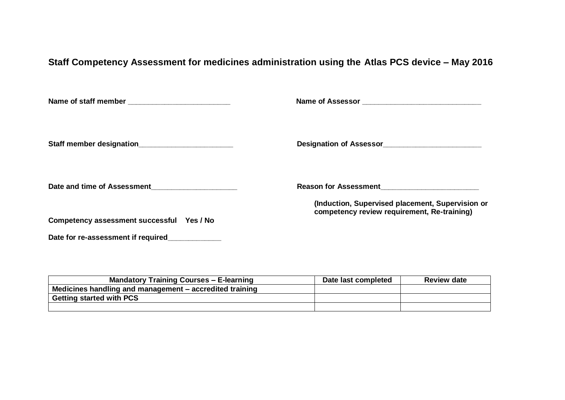## **Staff Competency Assessment for medicines administration using the Atlas PCS device – May 2016**

|                                                 | Designation of Assessor                                                                         |
|-------------------------------------------------|-------------------------------------------------------------------------------------------------|
| Date and time of Assessment                     |                                                                                                 |
| Competency assessment successful Yes / No       | (Induction, Supervised placement, Supervision or<br>competency review requirement, Re-training) |
| Date for re-assessment if required_____________ |                                                                                                 |

| <b>Mandatory Training Courses – E-learning</b>          | Date last completed | <b>Review date</b> |
|---------------------------------------------------------|---------------------|--------------------|
| Medicines handling and management – accredited training |                     |                    |
| <sup>1</sup> Getting started with PCS                   |                     |                    |
|                                                         |                     |                    |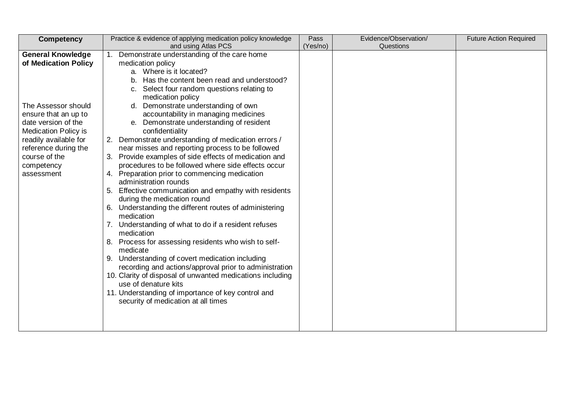| <b>Competency</b>           | Practice & evidence of applying medication policy knowledge        | Pass     | Evidence/Observation/ | <b>Future Action Required</b> |
|-----------------------------|--------------------------------------------------------------------|----------|-----------------------|-------------------------------|
|                             | and using Atlas PCS                                                | (Yes/no) | Questions             |                               |
| <b>General Knowledge</b>    | 1. Demonstrate understanding of the care home                      |          |                       |                               |
| of Medication Policy        | medication policy                                                  |          |                       |                               |
|                             | a. Where is it located?                                            |          |                       |                               |
|                             | b. Has the content been read and understood?                       |          |                       |                               |
|                             | c. Select four random questions relating to                        |          |                       |                               |
|                             | medication policy                                                  |          |                       |                               |
| The Assessor should         | Demonstrate understanding of own<br>d.                             |          |                       |                               |
| ensure that an up to        | accountability in managing medicines                               |          |                       |                               |
| date version of the         | Demonstrate understanding of resident<br>е.                        |          |                       |                               |
| <b>Medication Policy is</b> | confidentiality                                                    |          |                       |                               |
| readily available for       | 2. Demonstrate understanding of medication errors /                |          |                       |                               |
| reference during the        | near misses and reporting process to be followed                   |          |                       |                               |
| course of the               | 3. Provide examples of side effects of medication and              |          |                       |                               |
| competency                  | procedures to be followed where side effects occur                 |          |                       |                               |
| assessment                  | 4. Preparation prior to commencing medication                      |          |                       |                               |
|                             | administration rounds                                              |          |                       |                               |
|                             | Effective communication and empathy with residents                 |          |                       |                               |
|                             | during the medication round                                        |          |                       |                               |
|                             | 6. Understanding the different routes of administering             |          |                       |                               |
|                             | medication                                                         |          |                       |                               |
|                             | 7. Understanding of what to do if a resident refuses<br>medication |          |                       |                               |
|                             |                                                                    |          |                       |                               |
|                             | Process for assessing residents who wish to self-<br>medicate      |          |                       |                               |
|                             | 9. Understanding of covert medication including                    |          |                       |                               |
|                             | recording and actions/approval prior to administration             |          |                       |                               |
|                             | 10. Clarity of disposal of unwanted medications including          |          |                       |                               |
|                             | use of denature kits                                               |          |                       |                               |
|                             | 11. Understanding of importance of key control and                 |          |                       |                               |
|                             | security of medication at all times                                |          |                       |                               |
|                             |                                                                    |          |                       |                               |
|                             |                                                                    |          |                       |                               |
|                             |                                                                    |          |                       |                               |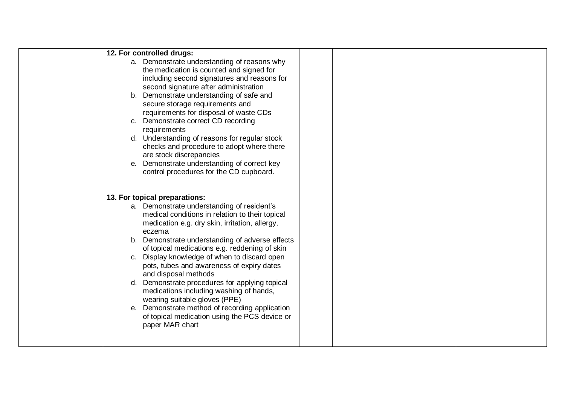| 12. For controlled drugs:                       |  |
|-------------------------------------------------|--|
| a. Demonstrate understanding of reasons why     |  |
| the medication is counted and signed for        |  |
| including second signatures and reasons for     |  |
| second signature after administration           |  |
| b. Demonstrate understanding of safe and        |  |
| secure storage requirements and                 |  |
| requirements for disposal of waste CDs          |  |
| c. Demonstrate correct CD recording             |  |
| requirements                                    |  |
| d. Understanding of reasons for regular stock   |  |
| checks and procedure to adopt where there       |  |
| are stock discrepancies                         |  |
| e. Demonstrate understanding of correct key     |  |
| control procedures for the CD cupboard.         |  |
|                                                 |  |
|                                                 |  |
| 13. For topical preparations:                   |  |
| a. Demonstrate understanding of resident's      |  |
| medical conditions in relation to their topical |  |
| medication e.g. dry skin, irritation, allergy,  |  |
| eczema                                          |  |
| b. Demonstrate understanding of adverse effects |  |
| of topical medications e.g. reddening of skin   |  |
| c. Display knowledge of when to discard open    |  |
| pots, tubes and awareness of expiry dates       |  |
| and disposal methods                            |  |
| d. Demonstrate procedures for applying topical  |  |
| medications including washing of hands,         |  |
| wearing suitable gloves (PPE)                   |  |
| e. Demonstrate method of recording application  |  |
| of topical medication using the PCS device or   |  |
| paper MAR chart                                 |  |
|                                                 |  |
|                                                 |  |
|                                                 |  |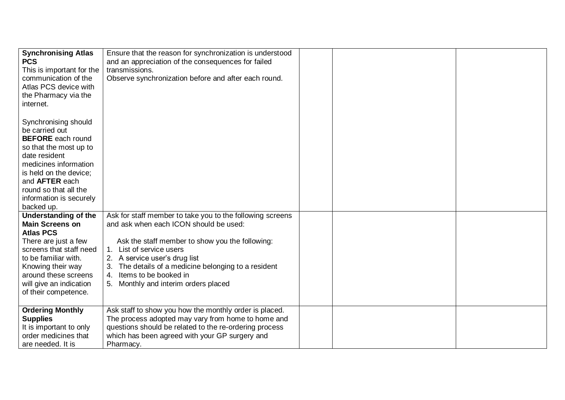| <b>Synchronising Atlas</b><br><b>PCS</b><br>This is important for the<br>communication of the<br>Atlas PCS device with<br>the Pharmacy via the<br>internet.                                                                                                 | Ensure that the reason for synchronization is understood<br>and an appreciation of the consequences for failed<br>transmissions.<br>Observe synchronization before and after each round.                                                                                                                                                     |  |  |
|-------------------------------------------------------------------------------------------------------------------------------------------------------------------------------------------------------------------------------------------------------------|----------------------------------------------------------------------------------------------------------------------------------------------------------------------------------------------------------------------------------------------------------------------------------------------------------------------------------------------|--|--|
| Synchronising should<br>be carried out<br><b>BEFORE</b> each round<br>so that the most up to<br>date resident<br>medicines information<br>is held on the device;<br>and <b>AFTER</b> each<br>round so that all the<br>information is securely<br>backed up. |                                                                                                                                                                                                                                                                                                                                              |  |  |
| <b>Understanding of the</b><br><b>Main Screens on</b><br><b>Atlas PCS</b><br>There are just a few<br>screens that staff need<br>to be familiar with.<br>Knowing their way<br>around these screens<br>will give an indication<br>of their competence.        | Ask for staff member to take you to the following screens<br>and ask when each ICON should be used:<br>Ask the staff member to show you the following:<br>1. List of service users<br>2. A service user's drug list<br>The details of a medicine belonging to a resident<br>4. Items to be booked in<br>5. Monthly and interim orders placed |  |  |
| <b>Ordering Monthly</b><br><b>Supplies</b><br>It is important to only<br>order medicines that<br>are needed. It is                                                                                                                                          | Ask staff to show you how the monthly order is placed.<br>The process adopted may vary from home to home and<br>questions should be related to the re-ordering process<br>which has been agreed with your GP surgery and<br>Pharmacy.                                                                                                        |  |  |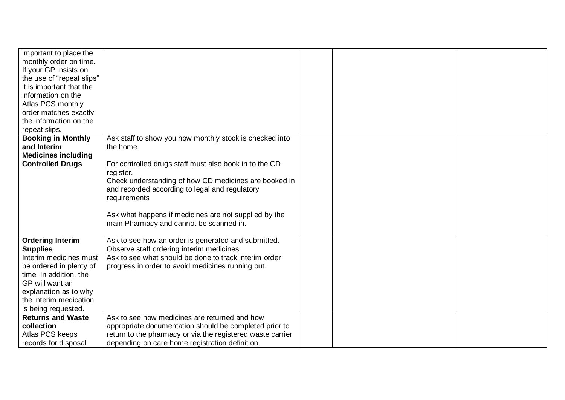| important to place the<br>monthly order on time. |                                                            |  |  |
|--------------------------------------------------|------------------------------------------------------------|--|--|
| If your GP insists on                            |                                                            |  |  |
| the use of "repeat slips"                        |                                                            |  |  |
| it is important that the                         |                                                            |  |  |
| information on the                               |                                                            |  |  |
| Atlas PCS monthly                                |                                                            |  |  |
| order matches exactly                            |                                                            |  |  |
| the information on the                           |                                                            |  |  |
| repeat slips.                                    |                                                            |  |  |
| <b>Booking in Monthly</b>                        | Ask staff to show you how monthly stock is checked into    |  |  |
| and Interim                                      | the home.                                                  |  |  |
| <b>Medicines including</b>                       |                                                            |  |  |
| <b>Controlled Drugs</b>                          | For controlled drugs staff must also book in to the CD     |  |  |
|                                                  | register.                                                  |  |  |
|                                                  | Check understanding of how CD medicines are booked in      |  |  |
|                                                  | and recorded according to legal and regulatory             |  |  |
|                                                  | requirements                                               |  |  |
|                                                  | Ask what happens if medicines are not supplied by the      |  |  |
|                                                  | main Pharmacy and cannot be scanned in.                    |  |  |
|                                                  |                                                            |  |  |
| <b>Ordering Interim</b>                          | Ask to see how an order is generated and submitted.        |  |  |
| <b>Supplies</b>                                  | Observe staff ordering interim medicines.                  |  |  |
| Interim medicines must                           | Ask to see what should be done to track interim order      |  |  |
| be ordered in plenty of                          | progress in order to avoid medicines running out.          |  |  |
| time. In addition, the                           |                                                            |  |  |
| GP will want an                                  |                                                            |  |  |
| explanation as to why                            |                                                            |  |  |
| the interim medication                           |                                                            |  |  |
| is being requested.                              |                                                            |  |  |
| <b>Returns and Waste</b>                         | Ask to see how medicines are returned and how              |  |  |
| collection                                       | appropriate documentation should be completed prior to     |  |  |
| Atlas PCS keeps                                  | return to the pharmacy or via the registered waste carrier |  |  |
| records for disposal                             | depending on care home registration definition.            |  |  |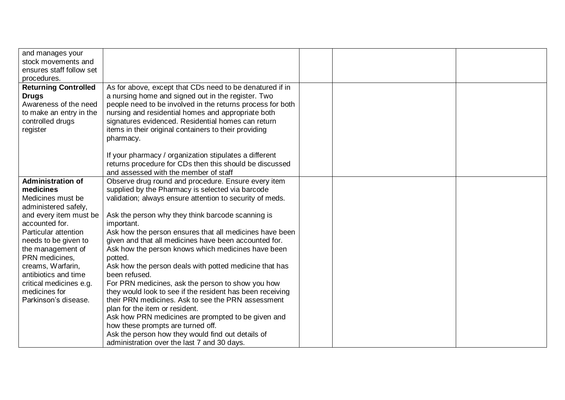| and manages your<br>stock movements and<br>ensures staff follow set                                                             |                                                                                                                                                                                                                                                                                                                                                                |  |  |
|---------------------------------------------------------------------------------------------------------------------------------|----------------------------------------------------------------------------------------------------------------------------------------------------------------------------------------------------------------------------------------------------------------------------------------------------------------------------------------------------------------|--|--|
| procedures.                                                                                                                     |                                                                                                                                                                                                                                                                                                                                                                |  |  |
| <b>Returning Controlled</b><br><b>Drugs</b><br>Awareness of the need<br>to make an entry in the<br>controlled drugs<br>register | As for above, except that CDs need to be denatured if in<br>a nursing home and signed out in the register. Two<br>people need to be involved in the returns process for both<br>nursing and residential homes and appropriate both<br>signatures evidenced. Residential homes can return<br>items in their original containers to their providing<br>pharmacy. |  |  |
|                                                                                                                                 | If your pharmacy / organization stipulates a different<br>returns procedure for CDs then this should be discussed<br>and assessed with the member of staff                                                                                                                                                                                                     |  |  |
| <b>Administration of</b><br>medicines<br>Medicines must be<br>administered safely,                                              | Observe drug round and procedure. Ensure every item<br>supplied by the Pharmacy is selected via barcode<br>validation; always ensure attention to security of meds.                                                                                                                                                                                            |  |  |
| and every item must be<br>accounted for.                                                                                        | Ask the person why they think barcode scanning is<br>important.                                                                                                                                                                                                                                                                                                |  |  |
| Particular attention                                                                                                            | Ask how the person ensures that all medicines have been                                                                                                                                                                                                                                                                                                        |  |  |
| needs to be given to<br>the management of<br>PRN medicines,                                                                     | given and that all medicines have been accounted for.<br>Ask how the person knows which medicines have been<br>potted.                                                                                                                                                                                                                                         |  |  |
| creams, Warfarin,<br>antibiotics and time                                                                                       | Ask how the person deals with potted medicine that has<br>been refused.                                                                                                                                                                                                                                                                                        |  |  |
| critical medicines e.g.                                                                                                         | For PRN medicines, ask the person to show you how                                                                                                                                                                                                                                                                                                              |  |  |
| medicines for<br>Parkinson's disease.                                                                                           | they would look to see if the resident has been receiving<br>their PRN medicines. Ask to see the PRN assessment                                                                                                                                                                                                                                                |  |  |
|                                                                                                                                 | plan for the item or resident.                                                                                                                                                                                                                                                                                                                                 |  |  |
|                                                                                                                                 | Ask how PRN medicines are prompted to be given and                                                                                                                                                                                                                                                                                                             |  |  |
|                                                                                                                                 | how these prompts are turned off.                                                                                                                                                                                                                                                                                                                              |  |  |
|                                                                                                                                 | Ask the person how they would find out details of<br>administration over the last 7 and 30 days.                                                                                                                                                                                                                                                               |  |  |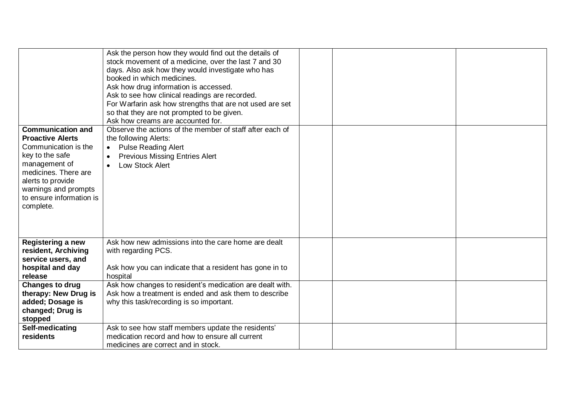| <b>Communication and</b><br><b>Proactive Alerts</b><br>Communication is the<br>key to the safe<br>management of<br>medicines. There are<br>alerts to provide<br>warnings and prompts<br>to ensure information is<br>complete. | Ask the person how they would find out the details of<br>stock movement of a medicine, over the last 7 and 30<br>days. Also ask how they would investigate who has<br>booked in which medicines.<br>Ask how drug information is accessed.<br>Ask to see how clinical readings are recorded.<br>For Warfarin ask how strengths that are not used are set<br>so that they are not prompted to be given.<br>Ask how creams are accounted for.<br>Observe the actions of the member of staff after each of<br>the following Alerts:<br><b>Pulse Reading Alert</b><br>$\bullet$<br><b>Previous Missing Entries Alert</b><br><b>Low Stock Alert</b> |  |  |
|-------------------------------------------------------------------------------------------------------------------------------------------------------------------------------------------------------------------------------|-----------------------------------------------------------------------------------------------------------------------------------------------------------------------------------------------------------------------------------------------------------------------------------------------------------------------------------------------------------------------------------------------------------------------------------------------------------------------------------------------------------------------------------------------------------------------------------------------------------------------------------------------|--|--|
| <b>Registering a new</b><br>resident, Archiving<br>service users, and                                                                                                                                                         | Ask how new admissions into the care home are dealt<br>with regarding PCS.                                                                                                                                                                                                                                                                                                                                                                                                                                                                                                                                                                    |  |  |
| hospital and day<br>release                                                                                                                                                                                                   | Ask how you can indicate that a resident has gone in to<br>hospital                                                                                                                                                                                                                                                                                                                                                                                                                                                                                                                                                                           |  |  |
| <b>Changes to drug</b>                                                                                                                                                                                                        | Ask how changes to resident's medication are dealt with.                                                                                                                                                                                                                                                                                                                                                                                                                                                                                                                                                                                      |  |  |
| therapy: New Drug is<br>added; Dosage is                                                                                                                                                                                      | Ask how a treatment is ended and ask them to describe<br>why this task/recording is so important.                                                                                                                                                                                                                                                                                                                                                                                                                                                                                                                                             |  |  |
| changed; Drug is                                                                                                                                                                                                              |                                                                                                                                                                                                                                                                                                                                                                                                                                                                                                                                                                                                                                               |  |  |
| stopped                                                                                                                                                                                                                       |                                                                                                                                                                                                                                                                                                                                                                                                                                                                                                                                                                                                                                               |  |  |
| Self-medicating                                                                                                                                                                                                               | Ask to see how staff members update the residents'                                                                                                                                                                                                                                                                                                                                                                                                                                                                                                                                                                                            |  |  |
| residents                                                                                                                                                                                                                     | medication record and how to ensure all current                                                                                                                                                                                                                                                                                                                                                                                                                                                                                                                                                                                               |  |  |
|                                                                                                                                                                                                                               | medicines are correct and in stock.                                                                                                                                                                                                                                                                                                                                                                                                                                                                                                                                                                                                           |  |  |